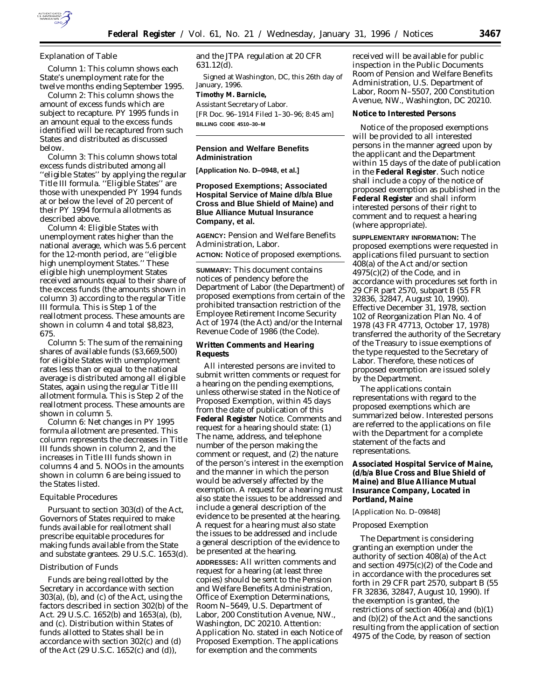

# *Explanation of Table*

Column 1: This column shows each State's unemployment rate for the twelve months ending September 1995.

Column 2: This column shows the amount of excess funds which are subject to recapture. PY 1995 funds in an amount equal to the excess funds identified will be recaptured from such States and distributed as discussed below.

Column 3: This column shows total excess funds distributed among all ''eligible States'' by applying the regular Title III formula. ''Eligible States'' are those with unexpended PY 1994 funds at or below the level of 20 percent of their PY 1994 formula allotments as described above.

Column 4: Eligible States with unemployment rates higher than the national average, which was 5.6 percent for the 12-month period, are ''eligible high unemployment States.'' These eligible high unemployment States received amounts equal to their share of the excess funds (the amounts shown in column 3) according to the regular Title III formula. This is Step 1 of the reallotment process. These amounts are shown in column 4 and total \$8,823, 675.

Column 5: The sum of the remaining shares of available funds (\$3,669,500) for eligible States with unemployment rates less than or equal to the national average is distributed among all eligible States, again using the regular Title III allotment formula. This is Step 2 of the reallotment process. These amounts are shown in column 5.

Column 6: Net changes in PY 1995 formula allotment are presented. This column represents the decreases in Title III funds shown in column 2, and the increases in Title III funds shown in columns 4 and 5. NOOs in the amounts shown in column 6 are being issued to the States listed.

### *Equitable Procedures*

Pursuant to section 303(d) of the Act, Governors of States required to make funds available for reallotment shall prescribe equitable procedures for making funds available from the State and substate grantees. 29 U.S.C. 1653(d).

## *Distribution of Funds*

Funds are being reallotted by the Secretary in accordance with section 303(a), (b), and (c) of the Act, using the factors described in section 302(b) of the Act. 29 U.S.C. 1652(b) and 1653(a), (b), and (c). Distribution within States of funds allotted to States shall be in accordance with section 302(c) and (d) of the Act (29 U.S.C. 1652(c) and (d)),

and the JTPA regulation at 20 CFR 631.12(d).

Signed at Washington, DC, this 26th day of January, 1996. **Timothy M. Barnicle,**

*Assistant Secretary of Labor.*

[FR Doc. 96–1914 Filed 1–30–96; 8:45 am] **BILLING CODE 4510–30–M**

## **Pension and Welfare Benefits Administration**

**[Application No. D–0948, et al.]**

# **Proposed Exemptions; Associated Hospital Service of Maine d/b/a Blue Cross and Blue Shield of Maine) and Blue Alliance Mutual Insurance Company, et al.**

**AGENCY:** Pension and Welfare Benefits Administration, Labor.

**ACTION:** Notice of proposed exemptions.

**SUMMARY:** This document contains notices of pendency before the Department of Labor (the Department) of proposed exemptions from certain of the prohibited transaction restriction of the Employee Retirement Income Security Act of 1974 (the Act) and/or the Internal Revenue Code of 1986 (the Code).

## **Written Comments and Hearing Requests**

All interested persons are invited to submit written comments or request for a hearing on the pending exemptions, unless otherwise stated in the Notice of Proposed Exemption, within 45 days from the date of publication of this **Federal Register** Notice. Comments and request for a hearing should state: (1) The name, address, and telephone number of the person making the comment or request, and (2) the nature of the person's interest in the exemption and the manner in which the person would be adversely affected by the exemption. A request for a hearing must also state the issues to be addressed and include a general description of the evidence to be presented at the hearing. A request for a hearing must also state the issues to be addressed and include a general description of the evidence to be presented at the hearing.

**ADDRESSES:** All written comments and request for a hearing (at least three copies) should be sent to the Pension and Welfare Benefits Administration, Office of Exemption Determinations, Room N–5649, U.S. Department of Labor, 200 Constitution Avenue, NW., Washington, DC 20210. Attention: Application No. stated in each Notice of Proposed Exemption. The applications for exemption and the comments

received will be available for public inspection in the Public Documents Room of Pension and Welfare Benefits Administration, U.S. Department of Labor, Room N–5507, 200 Constitution Avenue, NW., Washington, DC 20210.

### **Notice to Interested Persons**

Notice of the proposed exemptions will be provided to all interested persons in the manner agreed upon by the applicant and the Department within 15 days of the date of publication in the **Federal Register**. Such notice shall include a copy of the notice of proposed exemption as published in the **Federal Register** and shall inform interested persons of their right to comment and to request a hearing (where appropriate).

**SUPPLEMENTARY INFORMATION:** The proposed exemptions were requested in applications filed pursuant to section 408(a) of the Act and/or section 4975(c)(2) of the Code, and in accordance with procedures set forth in 29 CFR part 2570, subpart B (55 FR 32836, 32847, August 10, 1990). Effective December 31, 1978, section 102 of Reorganization Plan No. 4 of 1978 (43 FR 47713, October 17, 1978) transferred the authority of the Secretary of the Treasury to issue exemptions of the type requested to the Secretary of Labor. Therefore, these notices of proposed exemption are issued solely by the Department.

The applications contain representations with regard to the proposed exemptions which are summarized below. Interested persons are referred to the applications on file with the Department for a complete statement of the facts and representations.

**Associated Hospital Service of Maine, (d/b/a Blue Cross and Blue Shield of Maine) and Blue Alliance Mutual Insurance Company, Located in Portland, Maine**

#### [Application No. D–09848]

## *Proposed Exemption*

The Department is considering granting an exemption under the authority of section 408(a) of the Act and section 4975(c)(2) of the Code and in accordance with the procedures set forth in 29 CFR part 2570, subpart B (55 FR 32836, 32847, August 10, 1990). If the exemption is granted, the restrictions of section 406(a) and (b)(1) and (b)(2) of the Act and the sanctions resulting from the application of section 4975 of the Code, by reason of section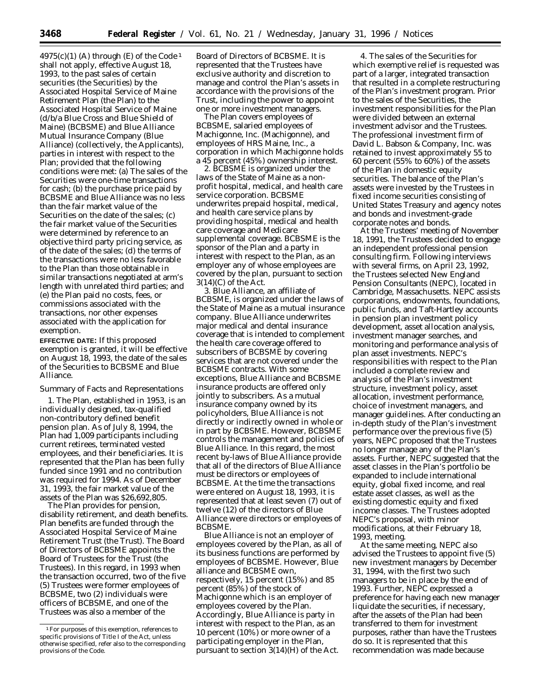$4975(c)(1)$  (A) through (E) of the Code<sup>1</sup> shall not apply, effective August 18, 1993, to the past sales of certain securities (the Securities) by the Associated Hospital Service of Maine Retirement Plan (the Plan) to the Associated Hospital Service of Maine (d/b/a Blue Cross and Blue Shield of Maine) (BCBSME) and Blue Alliance Mutual Insurance Company (Blue Alliance) (collectively, the Applicants), parties in interest with respect to the Plan; provided that the following conditions were met: (a) The sales of the Securities were one-time transactions for cash; (b) the purchase price paid by BCBSME and Blue Alliance was no less than the fair market value of the Securities on the date of the sales; (c) the fair market value of the Securities were determined by reference to an objective third party pricing service, as of the date of the sales; (d) the terms of the transactions were no less favorable to the Plan than those obtainable in similar transactions negotiated at arm's length with unrelated third parties; and (e) the Plan paid no costs, fees, or commissions associated with the transactions, nor other expenses associated with the application for exemption.

**EFFECTIVE DATE:** If this proposed exemption is granted, it will be effective on August 18, 1993, the date of the sales of the Securities to BCBSME and Blue Alliance.

### *Summary of Facts and Representations*

1. The Plan, established in 1953, is an individually designed, tax-qualified non-contributory defined benefit pension plan. As of July 8, 1994, the Plan had 1,009 participants including current retirees, terminated vested employees, and their beneficiaries. It is represented that the Plan has been fully funded since 1991 and no contribution was required for 1994. As of December 31, 1993, the fair market value of the assets of the Plan was \$26,692,805.

The Plan provides for pension, disability retirement, and death benefits. Plan benefits are funded through the Associated Hospital Service of Maine Retirement Trust (the Trust). The Board of Directors of BCBSME appoints the Board of Trustees for the Trust (the Trustees). In this regard, in 1993 when the transaction occurred, two of the five (5) Trustees were former employees of BCBSME, two (2) individuals were officers of BCBSME, and one of the Trustees was also a member of the

Board of Directors of BCBSME. It is represented that the Trustees have exclusive authority and discretion to manage and control the Plan's assets in accordance with the provisions of the Trust, including the power to appoint one or more investment managers.

The Plan covers employees of BCBSME, salaried employees of Machigonne, Inc. (Machigonne), and employees of HRS Maine, Inc., a corporation in which Machigonne holds a 45 percent (45%) ownership interest.

2. BCBSME is organized under the laws of the State of Maine as a nonprofit hospital, medical, and health care service corporation. BCBSME underwrites prepaid hospital, medical, and health care service plans by providing hospital, medical and health care coverage and Medicare supplemental coverage. BCBSME is the sponsor of the Plan and a party in interest with respect to the Plan, as an employer any of whose employees are covered by the plan, pursuant to section 3(14)(C) of the Act.

3. Blue Alliance, an affiliate of BCBSME, is organized under the laws of the State of Maine as a mutual insurance company. Blue Alliance underwrites major medical and dental insurance coverage that is intended to complement the health care coverage offered to subscribers of BCBSME by covering services that are not covered under the BCBSME contracts. With some exceptions, Blue Alliance and BCBSME insurance products are offered only jointly to subscribers. As a mutual insurance company owned by its policyholders, Blue Alliance is not directly or indirectly owned in whole or in part by BCBSME. However, BCBSME controls the management and policies of Blue Alliance. In this regard, the most recent by-laws of Blue Alliance provide that all of the directors of Blue Alliance must be directors or employees of BCBSME. At the time the transactions were entered on August 18, 1993, it is represented that at least seven (7) out of twelve (12) of the directors of Blue Alliance were directors or employees of BCBSME.

Blue Alliance is not an employer of employees covered by the Plan, as all of its business functions are performed by employees of BCBSME. However, Blue alliance and BCBSME own, respectively, 15 percent (15%) and 85 percent (85%) of the stock of Machigonne which is an employer of employees covered by the Plan. Accordingly, Blue Alliance is party in interest with respect to the Plan, as an 10 percent (10%) or more owner of a participating employer in the Plan, pursuant to section 3(14)(H) of the Act.

4. The sales of the Securities for which exemptive relief is requested was part of a larger, integrated transaction that resulted in a complete restructuring of the Plan's investment program. Prior to the sales of the Securities, the investment responsibilities for the Plan were divided between an external investment advisor and the Trustees. The professional investment firm of David L. Babson & Company, Inc. was retained to invest approximately 55 to 60 percent (55% to 60%) of the assets of the Plan in domestic equity securities. The balance of the Plan's assets were invested by the Trustees in fixed income securities consisting of United States Treasury and agency notes and bonds and investment-grade corporate notes and bonds.

At the Trustees' meeting of November 18, 1991, the Trustees decided to engage an independent professional pension consulting firm. Following interviews with several firms, on April 23, 1992, the Trustees selected New England Pension Consultants (NEPC), located in Cambridge, Massachusetts. NEPC assists corporations, endowments, foundations, public funds, and Taft-Hartley accounts in pension plan investment policy development, asset allocation analysis, investment manager searches, and monitoring and performance analysis of plan asset investments. NEPC's responsibilities with respect to the Plan included a complete review and analysis of the Plan's investment structure, investment policy, asset allocation, investment performance, choice of investment managers, and manager guidelines. After conducting an in-depth study of the Plan's investment performance over the previous five (5) years, NEPC proposed that the Trustees no longer manage any of the Plan's assets. Further, NEPC suggested that the asset classes in the Plan's portfolio be expanded to include international equity, global fixed income, and real estate asset classes, as well as the existing domestic equity and fixed income classes. The Trustees adopted NEPC's proposal, with minor modifications, at their February 18, 1993, meeting.

At the same meeting, NEPC also advised the Trustees to appoint five (5) new investment managers by December 31, 1994, with the first two such managers to be in place by the end of 1993. Further, NEPC expressed a preference for having each new manager liquidate the securities, if necessary, after the assets of the Plan had been transferred to them for investment purposes, rather than have the Trustees do so. It is represented that this recommendation was made because

<sup>1</sup>For purposes of this exemption, references to specific provisions of Title I of the Act, unless otherwise specified, refer also to the corresponding provisions of the Code.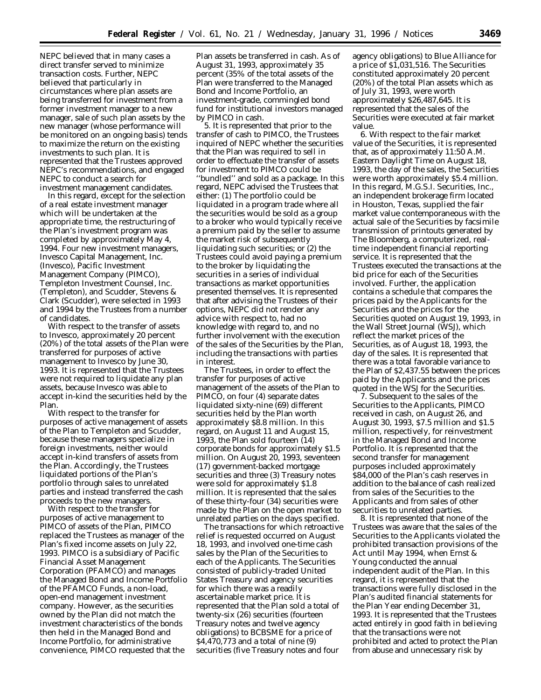NEPC believed that in many cases a direct transfer served to minimize transaction costs. Further, NEPC believed that particularly in circumstances where plan assets are being transferred for investment from a former investment manager to a new manager, sale of such plan assets by the new manager (whose performance will be monitored on an ongoing basis) tends to maximize the return on the existing investments to such plan. It is represented that the Trustees approved NEPC's recommendations, and engaged NEPC to conduct a search for investment management candidates.

In this regard, except for the selection of a real estate investment manager which will be undertaken at the appropriate time, the restructuring of the Plan's investment program was completed by approximately May 4, 1994. Four new investment managers, Invesco Capital Management, Inc. (Invesco), Pacific Investment Management Company (PIMCO), Templeton Investment Counsel, Inc. (Templeton), and Scudder, Stevens & Clark (Scudder), were selected in 1993 and 1994 by the Trustees from a number of candidates.

With respect to the transfer of assets to Invesco, approximately 20 percent (20%) of the total assets of the Plan were transferred for purposes of active management to Invesco by June 30, 1993. It is represented that the Trustees were not required to liquidate any plan assets, because Invesco was able to accept in-kind the securities held by the Plan.

With respect to the transfer for purposes of active management of assets of the Plan to Templeton and Scudder, because these managers specialize in foreign investments, neither would accept in-kind transfers of assets from the Plan. Accordingly, the Trustees liquidated portions of the Plan's portfolio through sales to unrelated parties and instead transferred the cash proceeds to the new managers.

With respect to the transfer for purposes of active management to PIMCO of assets of the Plan, PIMCO replaced the Trustees as manager of the Plan's fixed income assets on July 22, 1993. PIMCO is a subsidiary of Pacific Financial Asset Management Corporation (PFAMCO) and manages the Managed Bond and Income Portfolio of the PFAMCO Funds, a non-load, open-end management investment company. However, as the securities owned by the Plan did not match the investment characteristics of the bonds then held in the Managed Bond and Income Portfolio, for administrative convenience, PIMCO requested that the

Plan assets be transferred in cash. As of August 31, 1993, approximately 35 percent (35% of the total assets of the Plan were transferred to the Managed Bond and Income Portfolio, an investment-grade, commingled bond fund for institutional investors managed by PIMCO in cash.

5. It is represented that prior to the transfer of cash to PIMCO, the Trustees inquired of NEPC whether the securities that the Plan was required to sell in order to effectuate the transfer of assets for investment to PIMCO could be ''bundled'' and sold as a package. In this regard, NEPC advised the Trustees that either: (1) The portfolio could be liquidated in a program trade where all the securities would be sold as a group to a broker who would typically receive a premium paid by the seller to assume the market risk of subsequently liquidating such securities; or (2) the Trustees could avoid paying a premium to the broker by liquidating the securities in a series of individual transactions as market opportunities presented themselves. It is represented that after advising the Trustees of their options, NEPC did not render any advice with respect to, had no knowledge with regard to, and no further involvement with the execution of the sales of the Securities by the Plan, including the transactions with parties in interest.

The Trustees, in order to effect the transfer for purposes of active management of the assets of the Plan to PIMCO, on four (4) separate dates liquidated sixty-nine (69) different securities held by the Plan worth approximately \$8.8 million. In this regard, on August 11 and August 15, 1993, the Plan sold fourteen (14) corporate bonds for approximately \$1.5 million. On August 20, 1993, seventeen (17) government-backed mortgage securities and three (3) Treasury notes were sold for approximately \$1.8 million. It is represented that the sales of these thirty-four (34) securities were made by the Plan on the open market to unrelated parties on the days specified.

The transactions for which retroactive relief is requested occurred on August 18, 1993, and involved one-time cash sales by the Plan of the Securities to each of the Applicants. The Securities consisted of publicly-traded United States Treasury and agency securities for which there was a readily ascertainable market price. It is represented that the Plan sold a total of twenty-six (26) securities (fourteen Treasury notes and twelve agency obligations) to BCBSME for a price of \$4,470,773 and a total of nine (9) securities (five Treasury notes and four

agency obligations) to Blue Alliance for a price of \$1,031,516. The Securities constituted approximately 20 percent (20%) of the total Plan assets which as of July 31, 1993, were worth approximately \$26,487,645. It is represented that the sales of the Securities were executed at fair market value.

6. With respect to the fair market value of the Securities, it is represented that, as of approximately 11:50 A.M. Eastern Daylight Time on August 18, 1993, the day of the sales, the Securities were worth approximately \$5.4 million. In this regard, M.G.S.I. Securities, Inc., an independent brokerage firm located in Houston, Texas, supplied the fair market value contemporaneous with the actual sale of the Securities by facsimile transmission of printouts generated by The Bloomberg, a computerized, realtime independent financial reporting service. It is represented that the Trustees executed the transactions at the bid price for each of the Securities involved. Further, the application contains a schedule that compares the prices paid by the Applicants for the Securities and the prices for the Securities quoted on August 19, 1993, in the Wall Street Journal (WSJ), which reflect the market prices of the Securities, as of August 18, 1993, the day of the sales. It is represented that there was a total favorable variance to the Plan of \$2,437.55 between the prices paid by the Applicants and the prices quoted in the WSJ for the Securities.

7. Subsequent to the sales of the Securities to the Applicants, PIMCO received in cash, on August 26, and August 30, 1993, \$7.5 million and \$1.5 million, respectively, for reinvestment in the Managed Bond and Income Portfolio. It is represented that the second transfer for management purposes included approximately \$84,000 of the Plan's cash reserves in addition to the balance of cash realized from sales of the Securities to the Applicants and from sales of other securities to unrelated parties.

8. It is represented that none of the Trustees was aware that the sales of the Securities to the Applicants violated the prohibited transaction provisions of the Act until May 1994, when Ernst & Young conducted the annual independent audit of the Plan. In this regard, it is represented that the transactions were fully disclosed in the Plan's audited financial statements for the Plan Year ending December 31, 1993. It is represented that the Trustees acted entirely in good faith in believing that the transactions were not prohibited and acted to protect the Plan from abuse and unnecessary risk by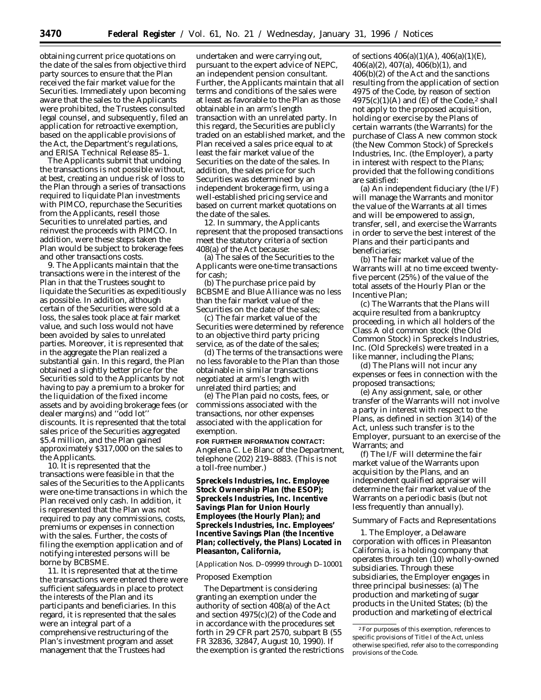obtaining current price quotations on the date of the sales from objective third party sources to ensure that the Plan received the fair market value for the Securities. Immediately upon becoming aware that the sales to the Applicants were prohibited, the Trustees consulted legal counsel, and subsequently, filed an application for retroactive exemption, based on the applicable provisions of the Act, the Department's regulations, and ERISA Technical Release 85–1.

The Applicants submit that undoing the transactions is not possible without, at best, creating an undue risk of loss to the Plan through a series of transactions required to liquidate Plan investments with PIMCO, repurchase the Securities from the Applicants, resell those Securities to unrelated parties, and reinvest the proceeds with PIMCO. In addition, were these steps taken the Plan would be subject to brokerage fees and other transactions costs.

9. The Applicants maintain that the transactions were in the interest of the Plan in that the Trustees sought to liquidate the Securities as expeditiously as possible. In addition, although certain of the Securities were sold at a loss, the sales took place at fair market value, and such loss would not have been avoided by sales to unrelated parties. Moreover, it is represented that in the aggregate the Plan realized a substantial gain. In this regard, the Plan obtained a slightly better price for the Securities sold to the Applicants by not having to pay a premium to a broker for the liquidation of the fixed income assets and by avoiding brokerage fees (or dealer margins) and ''odd lot'' discounts. It is represented that the total sales price of the Securities aggregated \$5.4 million, and the Plan gained approximately \$317,000 on the sales to the Applicants.

10. It is represented that the transactions were feasible in that the sales of the Securities to the Applicants were one-time transactions in which the Plan received only cash. In addition, it is represented that the Plan was not required to pay any commissions, costs, premiums or expenses in connection with the sales. Further, the costs of filing the exemption application and of notifying interested persons will be borne by BCBSME.

11. It is represented that at the time the transactions were entered there were sufficient safeguards in place to protect the interests of the Plan and its participants and beneficiaries. In this regard, it is represented that the sales were an integral part of a comprehensive restructuring of the Plan's investment program and asset management that the Trustees had

undertaken and were carrying out, pursuant to the expert advice of NEPC, an independent pension consultant. Further, the Applicants maintain that all terms and conditions of the sales were at least as favorable to the Plan as those obtainable in an arm's length transaction with an unrelated party. In this regard, the Securities are publicly traded on an established market, and the Plan received a sales price equal to at least the fair market value of the Securities on the date of the sales. In addition, the sales price for such Securities was determined by an independent brokerage firm, using a well-established pricing service and based on current market quotations on the date of the sales.

12. In summary, the Applicants represent that the proposed transactions meet the statutory criteria of section 408(a) of the Act because:

(a) The sales of the Securities to the Applicants were one-time transactions for cash;

(b) The purchase price paid by BCBSME and Blue Alliance was no less than the fair market value of the Securities on the date of the sales;

(c) The fair market value of the Securities were determined by reference to an objective third party pricing service, as of the date of the sales;

(d) The terms of the transactions were no less favorable to the Plan than those obtainable in similar transactions negotiated at arm's length with unrelated third parties; and

(e) The Plan paid no costs, fees, or commissions associated with the transactions, nor other expenses associated with the application for exemption.

**FOR FURTHER INFORMATION CONTACT:** Angelena C. Le Blanc of the Department, telephone (202) 219–8883. (This is not a toll-free number.)

**Spreckels Industries, Inc. Employee Stock Ownership Plan (the ESOP); Spreckels Industries, Inc. Incentive Savings Plan for Union Hourly Employees (the Hourly Plan); and Spreckels Industries, Inc. Employees' Incentive Savings Plan (the Incentive Plan; collectively, the Plans) Located in Pleasanton, California,**

[Application Nos. D–09999 through D–10001

## *Proposed Exemption*

The Department is considering granting an exemption under the authority of section 408(a) of the Act and section 4975(c)(2) of the Code and in accordance with the procedures set forth in 29 CFR part 2570, subpart B (55 FR 32836, 32847, August 10, 1990). If the exemption is granted the restrictions

of sections  $406(a)(1)(A)$ ,  $406(a)(1)(E)$ , 406(a)(2), 407(a), 406(b)(1), and 406(b)(2) of the Act and the sanctions resulting from the application of section 4975 of the Code, by reason of section  $4975(c)(1)(A)$  and  $(E)$  of the Code,<sup>2</sup> shall not apply to the proposed acquisition, holding or exercise by the Plans of certain warrants (the Warrants) for the purchase of Class A new common stock (the New Common Stock) of Spreckels Industries, Inc. (the Employer), a party in interest with respect to the Plans; provided that the following conditions are satisfied:

(a) An independent fiduciary (the I/F) will manage the Warrants and monitor the value of the Warrants at all times and will be empowered to assign, transfer, sell, and exercise the Warrants in order to serve the best interest of the Plans and their participants and beneficiaries;

(b) The fair market value of the Warrants will at no time exceed twentyfive percent (25%) of the value of the total assets of the Hourly Plan or the Incentive Plan;

(c) The Warrants that the Plans will acquire resulted from a bankruptcy proceeding, in which all holders of the Class A old common stock (the Old Common Stock) in Spreckels Industries, Inc. (Old Spreckels) were treated in a like manner, including the Plans;

(d) The Plans will not incur any expenses or fees in connection with the proposed transactions;

(e) Any assignment, sale, or other transfer of the Warrants will not involve a party in interest with respect to the Plans, as defined in section 3(14) of the Act, unless such transfer is to the Employer, pursuant to an exercise of the Warrants; and

(f) The I/F will determine the fair market value of the Warrants upon acquisition by the Plans, and an independent qualified appraiser will determine the fair market value of the Warrants on a periodic basis (but not less frequently than annually).

# *Summary of Facts and Representations*

1. The Employer, a Delaware corporation with offices in Pleasanton California, is a holding company that operates through ten (10) wholly-owned subsidiaries. Through these subsidiaries, the Employer engages in three principal businesses: (a) The production and marketing of sugar products in the United States; (b) the production and marketing of electrical

<sup>2</sup>For purposes of this exemption, references to specific provisions of Title I of the Act, unless otherwise specified, refer also to the corresponding provisions of the Code.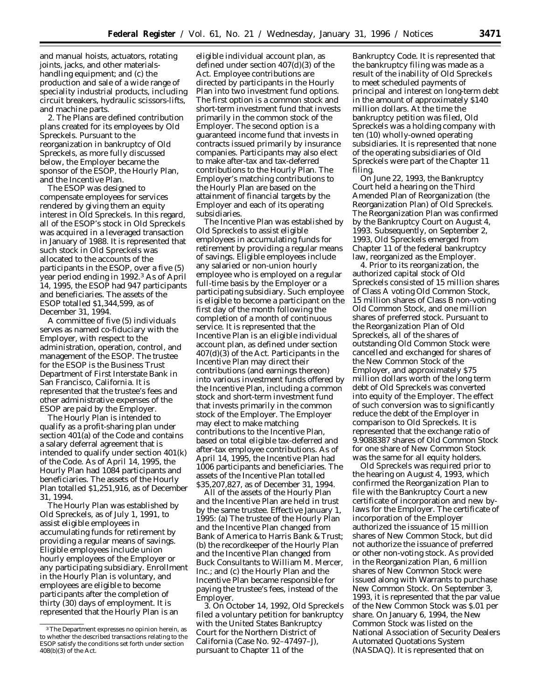and manual hoists, actuators, rotating joints, jacks, and other materialshandling equipment; and (c) the production and sale of a wide range of speciality industrial products, including circuit breakers, hydraulic scissors-lifts, and machine parts.

2. The Plans are defined contribution plans created for its employees by Old Spreckels. Pursuant to the reorganization in bankruptcy of Old Spreckels, as more fully discussed below, the Employer became the sponsor of the ESOP, the Hourly Plan, and the Incentive Plan.

The ESOP was designed to compensate employees for services rendered by giving them an equity interest in Old Spreckels. In this regard, all of the ESOP's stock in Old Spreckels was acquired in a leveraged transaction in January of 1988. It is represented that such stock in Old Spreckels was allocated to the accounts of the participants in the ESOP, over a five (5) year period ending in 1992.3 As of April 14, 1995, the ESOP had 947 participants and beneficiaries. The assets of the ESOP totalled \$1,344,599, as of December 31, 1994.

A committee of five (5) individuals serves as named co-fiduciary with the Employer, with respect to the administration, operation, control, and management of the ESOP. The trustee for the ESOP is the Business Trust Department of First Interstate Bank in San Francisco, California. It is represented that the trustee's fees and other administrative expenses of the ESOP are paid by the Employer.

The Hourly Plan is intended to qualify as a profit-sharing plan under section 401(a) of the Code and contains a salary deferral agreement that is intended to qualify under section 401(k) of the Code. As of April 14, 1995, the Hourly Plan had 1084 participants and beneficiaries. The assets of the Hourly Plan totalled \$1,251,916, as of December 31, 1994.

The Hourly Plan was established by Old Spreckels, as of July 1, 1991, to assist eligible employees in accumulating funds for retirement by providing a regular means of savings. Eligible employees include union hourly employees of the Employer or any participating subsidiary. Enrollment in the Hourly Plan is voluntary, and employees are eligible to become participants after the completion of thirty (30) days of employment. It is represented that the Hourly Plan is an

eligible individual account plan, as defined under section 407(d)(3) of the Act. Employee contributions are directed by participants in the Hourly Plan into two investment fund options. The first option is a common stock and short-term investment fund that invests primarily in the common stock of the Employer. The second option is a guaranteed income fund that invests in contracts issued primarily by insurance companies. Participants may also elect to make after-tax and tax-deferred contributions to the Hourly Plan. The Employer's matching contributions to the Hourly Plan are based on the attainment of financial targets by the Employer and each of its operating subsidiaries.

The Incentive Plan was established by Old Spreckels to assist eligible employees in accumulating funds for retirement by providing a regular means of savings. Eligible employees include any salaried or non-union hourly employee who is employed on a regular full-time basis by the Employer or a participating subsidiary. Such employee is eligible to become a participant on the first day of the month following the completion of a month of continuous service. It is represented that the Incentive Plan is an eligible individual account plan, as defined under section 407(d)(3) of the Act. Participants in the Incentive Plan may direct their contributions (and earnings thereon) into various investment funds offered by the Incentive Plan, including a common stock and short-term investment fund that invests primarily in the common stock of the Employer. The Employer may elect to make matching contributions to the Incentive Plan, based on total eligible tax-deferred and after-tax employee contributions. As of April 14, 1995, the Incentive Plan had 1006 participants and beneficiaries. The assets of the Incentive Plan totalled \$35,207,827, as of December 31, 1994.

All of the assets of the Hourly Plan and the Incentive Plan are held in trust by the same trustee. Effective January 1, 1995: (a) The trustee of the Hourly Plan and the Incentive Plan changed from Bank of America to Harris Bank & Trust; (b) the recordkeeper of the Hourly Plan and the Incentive Plan changed from Buck Consultants to William M. Mercer, Inc.; and (c) the Hourly Plan and the Incentive Plan became responsible for paying the trustee's fees, instead of the Employer.

3. On October 14, 1992, Old Spreckels filed a voluntary petition for bankruptcy with the United States Bankruptcy Court for the Northern District of California (Case No. 92–47497–J), pursuant to Chapter 11 of the

Bankruptcy Code. It is represented that the bankruptcy filing was made as a result of the inability of Old Spreckels to meet scheduled payments of principal and interest on long-term debt in the amount of approximately \$140 million dollars. At the time the bankruptcy petition was filed, Old Spreckels was a holding company with ten (10) wholly-owned operating subsidiaries. It is represented that none of the operating subsidiaries of Old Spreckels were part of the Chapter 11 filing.

On June 22, 1993, the Bankruptcy Court held a hearing on the Third Amended Plan of Reorganization (the Reorganization Plan) of Old Spreckels. The Reorganization Plan was confirmed by the Bankruptcy Court on August 4, 1993. Subsequently, on September 2, 1993, Old Spreckels emerged from Chapter 11 of the federal bankruptcy law, reorganized as the Employer.

4. Prior to its reorganization, the authorized capital stock of Old Spreckels consisted of 15 million shares of Class A voting Old Common Stock, 15 million shares of Class B non-voting Old Common Stock, and one million shares of preferred stock. Pursuant to the Reorganization Plan of Old Spreckels, all of the shares of outstanding Old Common Stock were cancelled and exchanged for shares of the New Common Stock of the Employer, and approximately \$75 million dollars worth of the long term debt of Old Spreckels was converted into equity of the Employer. The effect of such conversion was to significantly reduce the debt of the Employer in comparison to Old Spreckels. It is represented that the exchange ratio of 9.9088387 shares of Old Common Stock for one share of New Common Stock was the same for all equity holders.

Old Spreckels was required prior to the hearing on August 4, 1993, which confirmed the Reorganization Plan to file with the Bankruptcy Court a new certificate of incorporation and new bylaws for the Employer. The certificate of incorporation of the Employer authorized the issuance of 15 million shares of New Common Stock, but did not authorize the issuance of preferred or other non-voting stock. As provided in the Reorganization Plan, 6 million shares of New Common Stock were issued along with Warrants to purchase New Common Stock. On September 3, 1993, it is represented that the par value of the New Common Stock was \$.01 per share. On January 6, 1994, the New Common Stock was listed on the National Association of Security Dealers Automated Quotations System (NASDAQ). It is represented that on

<sup>3</sup>The Department expresses no opinion herein, as to whether the described transactions relating to the ESOP satisfy the conditions set forth under section 408(b)(3) of the Act.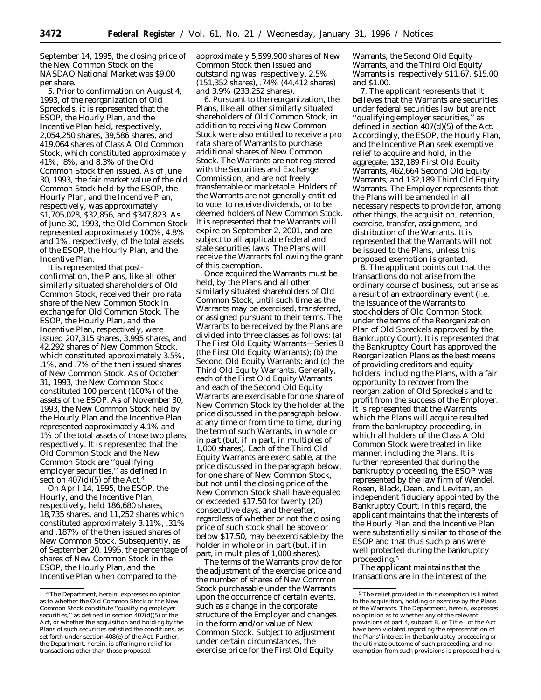September 14, 1995, the closing price of the New Common Stock on the NASDAQ National Market was \$9.00 per share.

5. Prior to confirmation on August 4, 1993, of the reorganization of Old Spreckels, it is represented that the ESOP, the Hourly Plan, and the Incentive Plan held, respectively, 2,054,250 shares, 39,586 shares, and 419,064 shares of Class A Old Common Stock, which constituted approximately 41%, .8%, and 8.3% of the Old Common Stock then issued. As of June 30, 1993, the fair market value of the old Common Stock held by the ESOP, the Hourly Plan, and the Incentive Plan, respectively, was approximately \$1,705,028, \$32,856, and \$347,823. As of June 30, 1993, the Old Common Stock represented approximately 100%, 4.8% and 1%, respectively, of the total assets of the ESOP, the Hourly Plan, and the Incentive Plan.

It is represented that postconfirmation, the Plans, like all other similarly situated shareholders of Old Common Stock, received their *pro rata* share of the New Common Stock in exchange for Old Common Stock. The ESOP, the Hourly Plan, and the Incentive Plan, respectively, were issued 207,315 shares, 3,995 shares, and 42,292 shares of New Common Stock, which constituted approximately 3.5%, .1%, and .7% of the then issued shares of New Common Stock. As of October 31, 1993, the New Common Stock constituted 100 percent (100%) of the assets of the ESOP. As of November 30, 1993, the New Common Stock held by the Hourly Plan and the Incentive Plan represented approximately 4.1% and 1% of the total assets of those two plans, respectively. It is represented that the Old Common Stock and the New Common Stock are ''qualifying employer securities,'' as defined in section  $407(d)(5)$  of the Act.<sup>4</sup>

On April 14, 1995, the ESOP, the Hourly, and the Incentive Plan, respectively, held 186,680 shares, 18,735 shares, and 11,252 shares which constituted approximately 3.11%, .31% and .187% of the then issued shares of New Common Stock. Subsequently, as of September 20, 1995, the percentage of shares of New Common Stock in the ESOP, the Hourly Plan, and the Incentive Plan when compared to the

approximately 5,599,900 shares of New Common Stock then issued and outstanding was, respectively, 2.5% (151,352 shares), .74% (44,412 shares) and 3.9% (233,252 shares).

6. Pursuant to the reorganization, the Plans, like all other similarly situated shareholders of Old Common Stock, in addition to receiving New Common Stock were also entitled to receive a *pro rata* share of Warrants to purchase additional shares of New Common Stock. The Warrants are not registered with the Securities and Exchange Commission, and are not freely transferrable or marketable. Holders of the Warrants are not generally entitled to vote, to receive dividends, or to be deemed holders of New Common Stock. It is represented that the Warrants will expire on September 2, 2001, and are subject to all applicable federal and state securities laws. The Plans will receive the Warrants following the grant of this exemption.

Once acquired the Warrants must be held, by the Plans and all other similarly situated shareholders of Old Common Stock, until such time as the Warrants may be exercised, transferred, or assigned pursuant to their terms. The Warrants to be received by the Plans are divided into three classes as follows: (a) The First Old Equity Warrants—Series B (the First Old Equity Warrants); (b) the Second Old Equity Warrants; and (c) the Third Old Equity Warrants. Generally, each of the First Old Equity Warrants and each of the Second Old Equity Warrants are exercisable for one share of New Common Stock by the holder at the price discussed in the paragraph below, at any time or from time to time, during the term of such Warrants, in whole or in part (but, if in part, in multiples of 1,000 shares). Each of the Third Old Equity Warrants are exercisable, at the price discussed in the paragraph below, for one share of New Common Stock, but not until the closing price of the New Common Stock shall have equaled or exceeded \$17.50 for twenty (20) consecutive days, and thereafter, regardless of whether or not the closing price of such stock shall be above or below \$17.50, may be exercisable by the holder in whole or in part (but, if in part, in multiples of 1,000 shares).

The terms of the Warrants provide for the adjustment of the exercise price and the number of shares of New Common Stock purchasable under the Warrants upon the occurrence of certain events, such as a change in the corporate structure of the Employer and changes in the form and/or value of New Common Stock. Subject to adjustment under certain circumstances, the exercise price for the First Old Equity

Warrants, the Second Old Equity Warrants, and the Third Old Equity Warrants is, respectively \$11.67, \$15.00, and \$1.00.

7. The applicant represents that it believes that the Warrants are securities under federal securities law but are not ''qualifying employer securities,'' as defined in section 407(d)(5) of the Act. Accordingly, the ESOP, the Hourly Plan, and the Incentive Plan seek exemptive relief to acquire and hold, in the aggregate, 132,189 First Old Equity Warrants, 462,664 Second Old Equity Warrants, and 132,189 Third Old Equity Warrants. The Employer represents that the Plans will be amended in all necessary respects to provide for, among other things, the acquisition, retention, exercise, transfer, assignment, and distribution of the Warrants. It is represented that the Warrants will not be issued to the Plans, unless this proposed exemption is granted.

8. The applicant points out that the transactions do not arise from the ordinary course of business, but arise as a result of an extraordinary event (i.e. the issuance of the Warrants to stockholders of Old Common Stock under the terms of the Reorganization Plan of Old Spreckels approved by the Bankruptcy Court). It is represented that the Bankruptcy Court has approved the Reorganization Plans as the best means of providing creditors and equity holders, including the Plans, with a fair opportunity to recover from the reorganization of Old Spreckels and to profit from the success of the Employer. It is represented that the Warrants which the Plans will acquire resulted from the bankruptcy proceeding, in which all holders of the Class A Old Common Stock were treated in like manner, including the Plans. It is further represented that during the bankruptcy proceeding, the ESOP was represented by the law firm of Wendel, Rosen, Black, Dean, and Levitan, an independent fiduciary appointed by the Bankruptcy Court. In this regard, the applicant maintains that the interests of the Hourly Plan and the Incentive Plan were substantially similar to those of the ESOP and that thus such plans were well protected during the bankruptcy proceeding.5

The applicant maintains that the transactions are in the interest of the

<sup>4</sup>The Department, herein, expresses no opinion as to whether the Old Common Stock or the New Common Stock constitute ''qualifying employer securities," as defined in section  $407(d)(5)$  of the Act, or whether the acquisition and holding by the Plans of such securities satisfied the conditions, as set forth under section 408(e) of the Act. Further, the Department, herein, is offering no relief for transactions other than those proposed.

<sup>5</sup>The relief provided in this exemption is limited to the acquisition, holding or exercise by the Plans of the Warrants. The Department, herein, expresses no opinion as to whether any of the relevant provisions of part 4, subpart B, of Title I of the Act have been violated regarding the representation of the Plans' interest in the bankruptcy proceeding or the ultimate outcome of such proceeding, and no exemption from such provisions is proposed herein.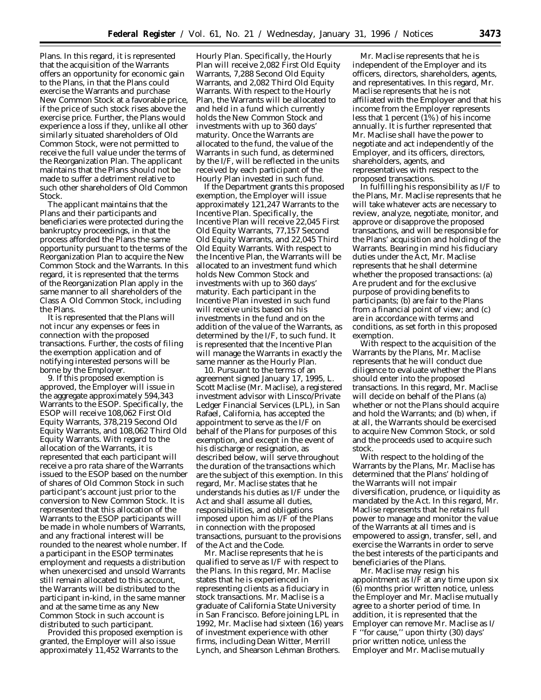Plans. In this regard, it is represented that the acquisition of the Warrants offers an opportunity for economic gain to the Plans, in that the Plans could exercise the Warrants and purchase New Common Stock at a favorable price, if the price of such stock rises above the exercise price. Further, the Plans would experience a loss if they, unlike all other similarly situated shareholders of Old Common Stock, were not permitted to receive the full value under the terms of the Reorganization Plan. The applicant maintains that the Plans should not be made to suffer a detriment relative to such other shareholders of Old Common Stock.

The applicant maintains that the Plans and their participants and beneficiaries were protected during the bankruptcy proceedings, in that the process afforded the Plans the same opportunity pursuant to the terms of the Reorganization Plan to acquire the New Common Stock and the Warrants. In this regard, it is represented that the terms of the Reorganization Plan apply in the same manner to all shareholders of the Class A Old Common Stock, including the Plans.

It is represented that the Plans will not incur any expenses or fees in connection with the proposed transactions. Further, the costs of filing the exemption application and of notifying interested persons will be borne by the Employer.

9. If this proposed exemption is approved, the Employer will issue in the aggregate approximately 594,343 Warrants to the ESOP. Specifically, the ESOP will receive 108,062 First Old Equity Warrants, 378,219 Second Old Equity Warrants, and 108,062 Third Old Equity Warrants. With regard to the allocation of the Warrants, it is represented that each participant will receive a *pro rata* share of the Warrants issued to the ESOP based on the number of shares of Old Common Stock in such participant's account just prior to the conversion to New Common Stock. It is represented that this allocation of the Warrants to the ESOP participants will be made in whole numbers of Warrants, and any fractional interest will be rounded to the nearest whole number. If a participant in the ESOP terminates employment and requests a distribution when unexercised and unsold Warrants still remain allocated to this account, the Warrants will be distributed to the participant in-kind, in the same manner and at the same time as any New Common Stock in such account is distributed to such participant.

Provided this proposed exemption is granted, the Employer will also issue approximately 11,452 Warrants to the

Hourly Plan. Specifically, the Hourly Plan will receive 2,082 First Old Equity Warrants, 7,288 Second Old Equity Warrants, and 2,082 Third Old Equity Warrants. With respect to the Hourly Plan, the Warrants will be allocated to and held in a fund which currently holds the New Common Stock and investments with up to 360 days' maturity. Once the Warrants are allocated to the fund, the value of the Warrants in such fund, as determined by the I/F, will be reflected in the units received by each participant of the Hourly Plan invested in such fund.

If the Department grants this proposed exemption, the Employer will issue approximately 121,247 Warrants to the Incentive Plan. Specifically, the Incentive Plan will receive 22,045 First Old Equity Warrants, 77,157 Second Old Equity Warrants, and 22,045 Third Old Equity Warrants. With respect to the Incentive Plan, the Warrants will be allocated to an investment fund which holds New Common Stock and investments with up to 360 days' maturity. Each participant in the Incentive Plan invested in such fund will receive units based on his investments in the fund and on the addition of the value of the Warrants, as determined by the I/F, to such fund. It is represented that the Incentive Plan will manage the Warrants in exactly the same manner as the Hourly Plan.

10. Pursuant to the terms of an agreement signed January 17, 1995, L. Scott Maclise (Mr. Maclise), a registered investment advisor with Linsco/Private Ledger Financial Services (LPL), in San Rafael, California, has accepted the appointment to serve as the I/F on behalf of the Plans for purposes of this exemption, and except in the event of his discharge or resignation, as described below, will serve throughout the duration of the transactions which are the subject of this exemption. In this regard, Mr. Maclise states that he understands his duties as I/F under the Act and shall assume all duties, responsibilities, and obligations imposed upon him as I/F of the Plans in connection with the proposed transactions, pursuant to the provisions of the Act and the Code.

Mr. Maclise represents that he is qualified to serve as I/F with respect to the Plans. In this regard, Mr. Maclise states that he is experienced in representing clients as a fiduciary in stock transactions. Mr. Maclise is a graduate of California State University in San Francisco. Before joining LPL in 1992, Mr. Maclise had sixteen (16) years of investment experience with other firms, including Dean Witter, Merrill Lynch, and Shearson Lehman Brothers.

Mr. Maclise represents that he is independent of the Employer and its officers, directors, shareholders, agents, and representatives. In this regard, Mr. Maclise represents that he is not affiliated with the Employer and that his income from the Employer represents less that 1 percent (1%) of his income annually. It is further represented that Mr. Maclise shall have the power to negotiate and act independently of the Employer, and its officers, directors, shareholders, agents, and representatives with respect to the proposed transactions.

In fulfilling his responsibility as I/F to the Plans, Mr. Maclise represents that he will take whatever acts are necessary to review, analyze, negotiate, monitor, and approve or disapprove the proposed transactions, and will be responsible for the Plans' acquisition and holding of the Warrants. Bearing in mind his fiduciary duties under the Act, Mr. Maclise represents that he shall determine whether the proposed transactions: (a) Are prudent and for the exclusive purpose of providing benefits to participants; (b) are fair to the Plans from a financial point of view; and (c) are in accordance with terms and conditions, as set forth in this proposed exemption.

With respect to the acquisition of the Warrants by the Plans, Mr. Maclise represents that he will conduct due diligence to evaluate whether the Plans should enter into the proposed transactions. In this regard, Mr. Maclise will decide on behalf of the Plans (a) whether or not the Plans should acquire and hold the Warrants; and (b) when, if at all, the Warrants should be exercised to acquire New Common Stock, or sold and the proceeds used to acquire such stock.

With respect to the holding of the Warrants by the Plans, Mr. Maclise has determined that the Plans' holding of the Warrants will not impair diversification, prudence, or liquidity as mandated by the Act. In this regard, Mr. Maclise represents that he retains full power to manage and monitor the value of the Warrants at all times and is empowered to assign, transfer, sell, and exercise the Warrants in order to serve the best interests of the participants and beneficiaries of the Plans.

Mr. Maclise may resign his appointment as I/F at any time upon six (6) months prior written notice, unless the Employer and Mr. Maclise mutually agree to a shorter period of time. In addition, it is represented that the Employer can remove Mr. Maclise as I/ F ''for cause,'' upon thirty (30) days' prior written notice, unless the Employer and Mr. Maclise mutually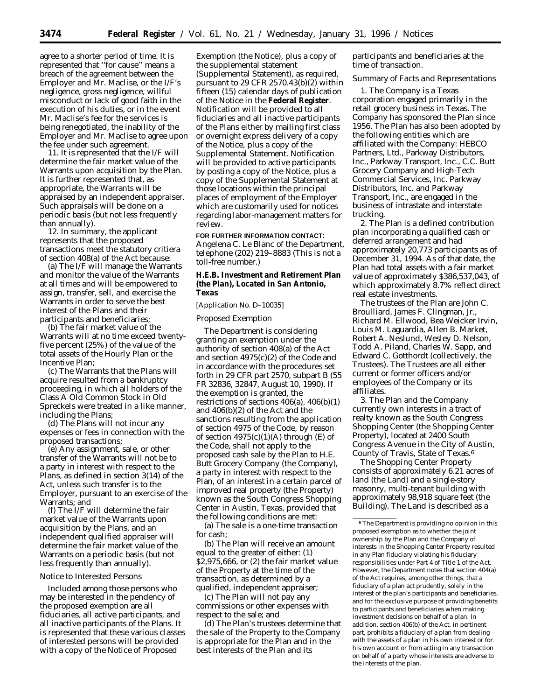agree to a shorter period of time. It is represented that ''for cause'' means a breach of the agreement between the Employer and Mr. Maclise, or the I/F's negligence, gross negligence, willful misconduct or lack of good faith in the execution of his duties, or in the event Mr. Maclise's fee for the services is being renegotiated, the inability of the Employer and Mr. Maclise to agree upon the fee under such agreement.

11. It is represented that the I/F will determine the fair market value of the Warrants upon acquisition by the Plan. It is further represented that, as appropriate, the Warrants will be appraised by an independent appraiser. Such appraisals will be done on a periodic basis (but not less frequently than annually).

12. In summary, the applicant represents that the proposed transactions meet the statutory critiera of section 408(a) of the Act because:

(a) The I/F will manage the Warrants and monitor the value of the Warrants at all times and will be empowered to assign, transfer, sell, and exercise the Warrants in order to serve the best interest of the Plans and their participants and beneficiaries;

(b) The fair market value of the Warrants will at no time exceed twentyfive percent (25%) of the value of the total assets of the Hourly Plan or the Incentive Plan;

(c) The Warrants that the Plans will acquire resulted from a bankruptcy proceeding, in which all holders of the Class A Old Common Stock in Old Spreckels were treated in a like manner, including the Plans;

(d) The Plans will not incur any expenses or fees in connection with the proposed transactions;

(e) Any assignment, sale, or other transfer of the Warrants will not be to a party in interest with respect to the Plans, as defined in section 3(14) of the Act, unless such transfer is to the Employer, pursuant to an exercise of the Warrants; and

(f) The I/F will determine the fair market value of the Warrants upon acquisition by the Plans, and an independent qualified appraiser will determine the fair market value of the Warrants on a periodic basis (but not less frequently than annually).

### *Notice to Interested Persons*

Included among those persons who may be interested in the pendency of the proposed exemption are all fiduciaries, all active participants, and all inactive participants of the Plans. It is represented that these various classes of interested persons will be provided with a copy of the Notice of Proposed

Exemption (the Notice), plus a copy of the supplemental statement (Supplemental Statement), as required, pursuant to 29 CFR 2570.43(b)(2) within fifteen (15) calendar days of publication of the Notice in the **Federal Register**. Notification will be provided to all fiduciaries and all inactive participants of the Plans either by mailing first class or overnight express delivery of a copy of the Notice, plus a copy of the Supplemental Statement. Notification will be provided to active participants by posting a copy of the Notice, plus a copy of the Supplemental Statement at those locations within the principal places of employment of the Employer which are customarily used for notices regarding labor-management matters for review.

## **FOR FURTHER INFORMATION CONTACT:**

Angelena C. Le Blanc of the Department, telephone (202) 219–8883 (This is not a toll-free number.)

**H.E.B. Investment and Retirement Plan (the Plan), Located in San Antonio, Texas**

# [Application No. D–10035]

## *Proposed Exemption*

The Department is considering granting an exemption under the authority of section 408(a) of the Act and section 4975(c)(2) of the Code and in accordance with the procedures set forth in 29 CFR part 2570, subpart B (55 FR 32836, 32847, August 10, 1990). If the exemption is granted, the restrictions of sections 406(a), 406(b)(1) and 406(b)(2) of the Act and the sanctions resulting from the application of section 4975 of the Code, by reason of section  $4975(c)(1)(A)$  through (E) of the Code, shall not apply to the proposed cash sale by the Plan to H.E. Butt Grocery Company (the Company), a party in interest with respect to the Plan, of an interest in a certain parcel of improved real property (the Property) known as the South Congress Shopping Center in Austin, Texas, provided that the following conditions are met:

(a) The sale is a one-time transaction for cash;

(b) The Plan will receive an amount equal to the greater of either: (1) \$2,975,666, or (2) the fair market value of the Property at the time of the transaction, as determined by a qualified, independent appraiser;

(c) The Plan will not pay any commissions or other expenses with respect to the sale; and

(d) The Plan's trustees determine that the sale of the Property to the Company is appropriate for the Plan and in the best interests of the Plan and its

participants and beneficiaries at the time of transaction.

## *Summary of Facts and Representations*

1. The Company is a Texas corporation engaged primarily in the retail grocery business in Texas. The Company has sponsored the Plan since 1956. The Plan has also been adopted by the following entities which are affiliated with the Company: HEBCO Partners, Ltd., Parkway Distributors, Inc., Parkway Transport, Inc., C.C. Butt Grocery Company and High-Tech Commercial Services, Inc. Parkway Distributors, Inc. and Parkway Transport, Inc., are engaged in the business of intrastate and interstate trucking.

2. The Plan is a defined contribution plan incorporating a qualified cash or deferred arrangement and had approximately 20,773 participants as of December 31, 1994. As of that date, the Plan had total assets with a fair market value of approximately \$386,537,043, of which approximately 8.7% reflect direct real estate investments.

The trustees of the Plan are John C. Broulliard, James F. Clingman, Jr., Richard M. Ellwood, Bea Weicker Irvin, Louis M. Laguardia, Allen B. Market, Robert A. Neslund, Wesley D. Nelson, Todd A. Piland, Charles W. Sapp, and Edward C. Gotthordt (collectively, the Trustees). The Trustees are all either current or former officers and/or employees of the Company or its affiliates.

3. The Plan and the Company currently own interests in a tract of realty known as the South Congress Shopping Center (the Shopping Center Property), located at 2400 South Congress Avenue in the City of Austin, County of Travis, State of Texas.6

The Shopping Center Property consists of approximately 6.21 acres of land (the Land) and a single-story masonry, multi-tenant building with approximately 98,918 square feet (the Building). The Land is described as a

<sup>6</sup>The Department is providing no opinion in this proposed exemption as to whether the joint ownership by the Plan and the Company of interests in the Shopping Center Property resulted in any Plan fiduciary violating his fiduciary responsibilities under Part 4 of Title 1 of the Act. However, the Department notes that section 404(a) of the Act requires, among other things, that a fiduciary of a plan act prudently, solely in the interest of the plan's participants and beneficiaries, and for the exclusive purpose of providing benefits to participants and beneficiaries when making investment decisions on behalf of a plan. In addition, section 406(b) of the Act, in pertinent part, prohibits a fiduciary of a plan from dealing with the assets of a plan in his own interest or for his own account or from acting in any transaction on behalf of a party whose interests are adverse to the interests of the plan.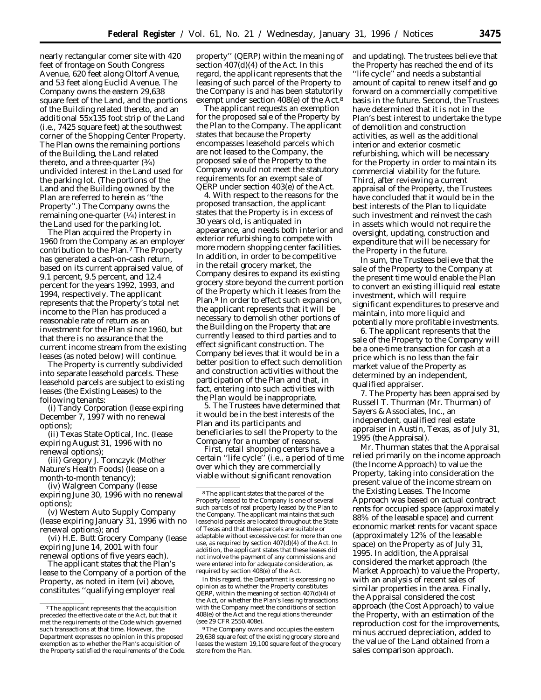nearly rectangular corner site with 420 feet of frontage on South Congress Avenue, 620 feet along Oltorf Avenue, and 53 feet along Euclid Avenue. The Company owns the eastern 29,638 square feet of the Land, and the portions of the Building related thereto, and an additional 55x135 foot strip of the Land (i.e., 7425 square feet) at the southwest corner of the Shopping Center Property. The Plan owns the remaining portions of the Building, the Land related thereto, and a three-quarter  $(3/4)$ undivided interest in the Land used for the parking lot. (The portions of the Land and the Building owned by the Plan are referred to herein as ''the Property''.) The Company owns the remaining one-quarter  $(1/4)$  interest in the Land used for the parking lot.

The Plan acquired the Property in 1960 from the Company as an employer contribution to the Plan.7 The Property has generated a cash-on-cash return, based on its current appraised value, of 9.1 percent, 9.5 percent, and 12.4 percent for the years 1992, 1993, and 1994, respectively. The applicant represents that the Property's total net income to the Plan has produced a reasonable rate of return as an investment for the Plan since 1960, but that there is no assurance that the current income stream from the existing leases (as noted below) will continue.

The Property is currently subdivided into separate leasehold parcels. These leasehold parcels are subject to existing leases (the Existing Leases) to the following tenants:

(i) Tandy Corporation (lease expiring December 7, 1997 with no renewal options);

(ii) Texas State Optical, Inc. (lease expiring August 31, 1996 with no renewal options);

(iii) Gregory J. Tomczyk (Mother Nature's Health Foods) (lease on a month-to-month tenancy);

(iv) Walgreen Company (lease expiring June 30, 1996 with no renewal options);

(v) Western Auto Supply Company (lease expiring January 31, 1996 with no renewal options); and

(vi) H.E. Butt Grocery Company (lease expiring June 14, 2001 with four renewal options of five years each).

The applicant states that the Plan's lease to the Company of a portion of the Property, as noted in item (vi) above, constitutes ''qualifying employer real

property'' (QERP) within the meaning of section 407(d)(4) of the Act. In this regard, the applicant represents that the leasing of such parcel of the Property to the Company is and has been statutorily exempt under section 408(e) of the Act.8

The applicant requests an exemption for the proposed sale of the Property by the Plan to the Company. The applicant states that because the Property encompasses leasehold parcels which are *not* leased to the Company, the proposed sale of the Property to the Company would not meet the statutory requirements for an exempt sale of QERP under section 403(e) of the Act.

4. With respect to the reasons for the proposed transaction, the applicant states that the Property is in excess of 30 years old, is antiquated in appearance, and needs both interior and exterior refurbishing to compete with more modern shopping center facilities. In addition, in order to be competitive in the retail grocery market, the Company desires to expand its existing grocery store beyond the current portion of the Property which it leases from the Plan.9 In order to effect such expansion, the applicant represents that it will be necessary to demolish other portions of the Building on the Property that are currently leased to third parties and to effect significant construction. The Company believes that it would be in a better position to effect such demolition and construction activities without the participation of the Plan and that, in fact, entering into such activities with the Plan would be inappropriate.

5. The Trustees have determined that it would be in the best interests of the Plan and its participants and beneficiaries to sell the Property to the Company for a number of reasons.

First, retail shopping centers have a certain ''life cycle'' (i.e., a period of time over which they are commercially viable without significant renovation

In this regard, the Department is expressing no opinion as to whether the Property constitutes QERP, within the meaning of section 407(d)(4) of the Act, or whether the Plan's leasing transactions with the Company meet the conditions of section 408(e) of the Act and the regulations thereunder (see 29 CFR 2550.408e).

9The Company owns and occupies the eastern 29,638 square feet of the existing grocery store and leases the western 19,100 square feet of the grocery store from the Plan.

and updating). The trustees believe that the Property has reached the end of its

''life cycle'' and needs a substantial amount of capital to renew itself and go forward on a commercially competitive basis in the future. Second, the Trustees have determined that it is not in the Plan's best interest to undertake the type of demolition and construction activities, as well as the additional interior and exterior cosmetic refurbishing, which will be necessary for the Property in order to maintain its commercial viability for the future. Third, after reviewing a current appraisal of the Property, the Trustees have concluded that it would be in the best interests of the Plan to liquidate such investment and reinvest the cash in assets which would not require the oversight, updating, construction and expenditure that will be necessary for the Property in the future.

In sum, the Trustees believe that the sale of the Property to the Company at the present time would enable the Plan to convert an existing illiquid real estate investment, which will require significant expenditures to preserve and maintain, into more liquid and potentially more profitable investments.

6. The applicant represents that the sale of the Property to the Company will be a one-time transaction for cash at a price which is no less than the fair market value of the Property as determined by an independent, qualified appraiser.

7. The Property has been appraised by Russell T. Thurman (Mr. Thurman) of Sayers & Associates, Inc., an independent, qualified real estate appraiser in Austin, Texas, as of July 31, 1995 (the Appraisal).

Mr. Thurman states that the Appraisal relied primarily on the income approach (the Income Approach) to value the Property, taking into consideration the present value of the income stream on the Existing Leases. The Income Approach was based on actual contract rents for occupied space (approximately 88% of the leasable space) and current economic market rents for vacant space (approximately 12% of the leasable space) on the Property as of July 31, 1995. In addition, the Appraisal considered the market approach (the Market Approach) to value the Property, with an analysis of recent sales of similar properties in the area. Finally, the Appraisal considered the cost approach (the Cost Approach) to value the Property, with an estimation of the reproduction cost for the improvements, minus accrued depreciation, added to the value of the Land obtained from a sales comparison approach.

<sup>7</sup>The applicant represents that the acquisition preceded the effective date of the Act, but that it met the requirements of the Code which governed such transactions at that time. However, the Department expresses no opinion in this proposed exemption as to whether the Plan's acquisition of the Property satisfied the requirements of the Code.

<sup>8</sup>The applicant states that the parcel of the Property leased to the Company is one of several such parcels of real property leased by the Plan to the Company. The applicant maintains that such leasehold parcels are located throughout the State of Texas and that these parcels are suitable or adaptable without excessive cost for more than one use, as required by section 407(d)(4) of the Act. In addition, the applicant states that these leases did not involve the payment of any commissions and were entered into for adequate consideration, as required by section 408(e) of the Act.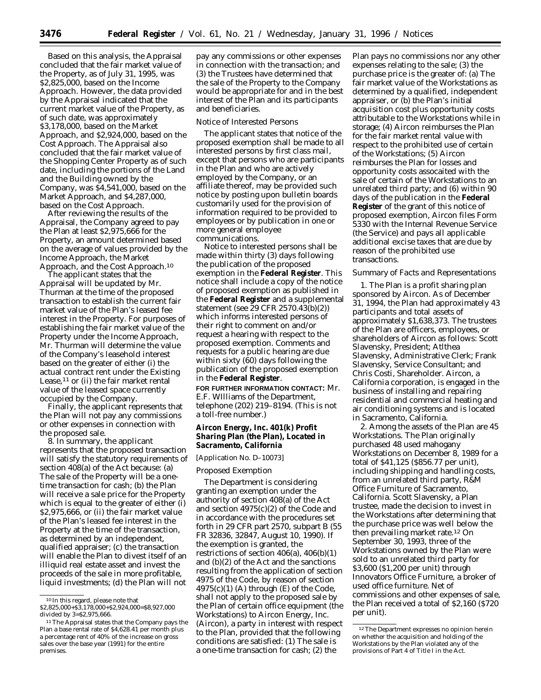Based on this analysis, the Appraisal concluded that the fair market value of the Property, as of July 31, 1995, was \$2,825,000, based on the Income Approach. However, the data provided by the Appraisal indicated that the current market value of the Property, as of such date, was approximately \$3,178,000, based on the Market Approach, and \$2,924,000, based on the Cost Approach. The Appraisal also concluded that the fair market value of the Shopping Center Property as of such date, including the portions of the Land and the Building owned by the Company, was \$4,541,000, based on the Market Approach, and \$4,287,000, based on the Cost Approach.

After reviewing the results of the Appraisal, the Company agreed to pay the Plan at least \$2,975,666 for the Property, an amount determined based on the average of values provided by the Income Approach, the Market Approach, and the Cost Approach.10

The applicant states that the Appraisal will be updated by Mr. Thurman at the time of the proposed transaction to establish the current fair market value of the Plan's leased fee interest in the Property. For purposes of establishing the fair market value of the Property under the Income Approach, Mr. Thurman will determine the value of the Company's leasehold interest based on the greater of either (i) the actual contract rent under the Existing Lease,11 or (ii) the fair market rental value of the leased space currently occupied by the Company.

Finally, the applicant represents that the Plan will not pay any commissions or other expenses in connection with the proposed sale.

8. In summary, the applicant represents that the proposed transaction will satisfy the statutory requirements of section 408(a) of the Act because: (a) The sale of the Property will be a onetime transaction for cash; (b) the Plan will receive a sale price for the Property which is equal to the greater of either (i) \$2,975,666, or (ii) the fair market value of the Plan's leased fee interest in the Property at the time of the transaction, as determined by an independent, qualified appraiser; (c) the transaction will enable the Plan to divest itself of an illiquid real estate asset and invest the proceeds of the sale in more profitable, liquid investments; (d) the Plan will not

pay any commissions or other expenses in connection with the transaction; and (3) the Trustees have determined that the sale of the Property to the Company would be appropriate for and in the best interest of the Plan and its participants and beneficiaries.

## *Notice of Interested Persons*

The applicant states that notice of the proposed exemption shall be made to all interested persons by first class mail, except that persons who are participants in the Plan and who are actively employed by the Company, or an affiliate thereof, may be provided such notice by posting upon bulletin boards customarily used for the provision of information required to be provided to employees or by publication in one or more general employee communications.

Notice to interested persons shall be made within thirty (3) days following the publication of the proposed exemption in the **Federal Register**. This notice shall include a copy of the notice of proposed exemption as published in the **Federal Register** and a supplemental statement (see 29 CFR 2570.43(b)(2)) which informs interested persons of their right to comment on and/or request a hearing with respect to the proposed exemption. Comments and requests for a public hearing are due within sixty (60) days following the publication of the proposed exemption in the **Federal Register**.

**FOR FURTHER INFORMATION CONTACT:** Mr. E.F. WIlliams of the Department, telephone (202) 219–8194. (This is not a toll-free number.)

**Aircon Energy, Inc. 401(k) Profit Sharing Plan (the Plan), Located in Sacramento, California**

## [Application No. D–10073]

## *Proposed Exemption*

The Department is considering granting an exemption under the authority of section 408(a) of the Act and section 4975(c)(2) of the Code and in accordance with the procedures set forth in 29 CFR part 2570, subpart B (55 FR 32836, 32847, August 10, 1990). If the exemption is granted, the restrictions of section 406(a), 406(b)(1) and (b)(2) of the Act and the sanctions resulting from the application of section 4975 of the Code, by reason of section  $4975(c)(1)$  (A) through (E) of the Code, shall not apply to the proposed sale by the Plan of certain office equipment (the Workstations) to Aircon Energy, Inc. (Aircon), a party in interest with respect to the Plan, provided that the following conditions are satisfied: (1) The sale is a one-time transaction for cash; (2) the

Plan pays no commissions nor any other expenses relating to the sale; (3) the purchase price is the greater of: (a) The fair market value of the Workstations as determined by a qualified, independent appraiser, or (b) the Plan's initial acquisition cost plus opportunity costs attributable to the Workstations while in storage; (4) Aircon reimburses the Plan for the fair market rental value with respect to the prohibited use of certain of the Workstations; (5) Aircon reimburses the Plan for losses and opportunity costs assocaited with the sale of certain of the Workstations to an unrelated third party; and (6) within 90 days of the publication in the **Federal Register** of the grant of this notice of proposed exemption, Aircon files Form 5330 with the Internal Revenue Service (the Service) and pays all applicable additional excise taxes that are due by reason of the prohibited use transactions.

### *Summary of Facts and Representations*

1. The Plan is a profit sharing plan sponsored by Aircon. As of December 31, 1994, the Plan had approximately 43 participants and total assets of approximately \$1,638,373. The trustees of the Plan are officers, employees, or shareholders of Aircon as follows: Scott Slavensky, President; Atlthea Slavensky, Administrative Clerk; Frank Slavensky, Service Consultant; and Chris Costi, Shareholder. Aircon, a California corporation, is engaged in the business of installing and repairing residential and commercial heating and air conditioning systems and is located in Sacramento, California.

2. Among the assets of the Plan are 45 Workstations. The Plan originally purchased 48 used mahogany Workstations on December 8, 1989 for a total of \$41,125 (\$856.77 per unit), including shipping and handling costs, from an unrelated third party, R&M Office Furniture of Sacramento, California. Scott Slavensky, a Plan trustee, made the decision to invest in the Workstations after determining that the purchase price was well below the then prevailing market rate.12 On September 30, 1993, three of the Workstations owned by the Plan were sold to an unrelated third party for \$3,600 (\$1,200 per unit) through Innovators Office Furniture, a broker of used office furniture. Net of commissions and other expenses of sale, the Plan received a total of \$2,160 (\$720 per unit).

<sup>10</sup> In this regard, please note that

<sup>\$2,825,000+\$3,178,000+\$2,924,000=\$8,927,000</sup> divided by 3=\$2,975,666.

<sup>&</sup>lt;sup>11</sup> The Appraisal states that the Company pays the Plan a base rental rate of \$4,628.41 per month plus a percentage rent of 40% of the increase on gross sales over the base year (1991) for the entire premises.

<sup>12</sup>The Department expresses no opinion herein on whether the acquisition and holding of the Workstations by the Plan violated any of the provisions of Part 4 of Title I in the Act.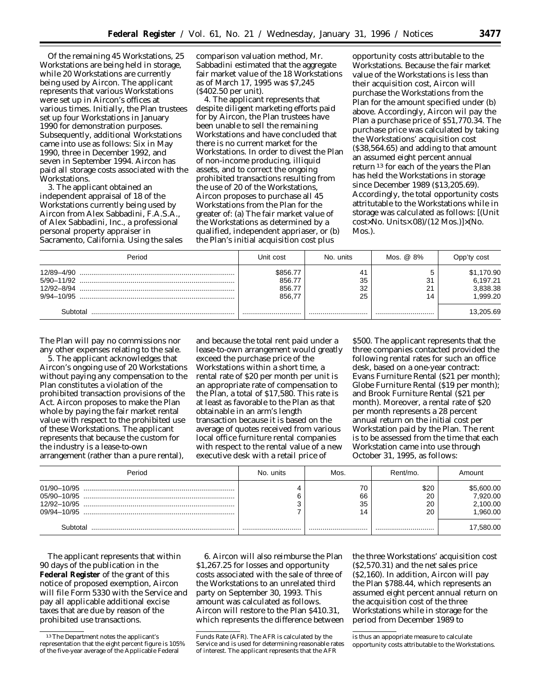Of the remaining 45 Workstations, 25 Workstations are being held in storage, while 20 Workstations are currently being used by Aircon. The applicant represents that various Workstations were set up in Aircon's offices at various times. Initially, the Plan trustees set up four Workstations in January 1990 for demonstration purposes. Subsequently, additional Workstations came into use as follows: Six in May 1990, three in December 1992, and seven in September 1994. Aircon has paid all storage costs associated with the Workstations.

3. The applicant obtained an independent appraisal of 18 of the Workstations currently being used by Aircon from Alex Sabbadini, F.A.S.A., of Alex Sabbadini, Inc., a professional personal property appraiser in Sacramento, California. Using the sales comparison valuation method, Mr. Sabbadini estimated that the aggregate fair market value of the 18 Workstations as of March 17, 1995 was \$7,245 (\$402.50 per unit).

4. The applicant represents that despite diligent marketing efforts paid for by Aircon, the Plan trustees have been unable to sell the remaining Workstations and have concluded that there is no current market for the Workstations. In order to divest the Plan of non-income producing, illiquid assets, and to correct the ongoing prohibited transactions resulting from the use of 20 of the Workstations, Aircon proposes to purchase all 45 Workstations from the Plan for the greater of: (a) The fair market value of the Workstations as determined by a qualified, independent appriaser, or (b) the Plan's initial acquisition cost plus

opportunity costs attributable to the Workstations. Because the fair market value of the Workstations is less than their acquisition cost, Aircon will purchase the Workstations from the Plan for the amount specified under (b) above. Accordingly, Aircon wil pay the Plan a purchase price of \$51,770.34. The purchase price was calculated by taking the Workstations' acquisition cost (\$38,564.65) and adding to that amount an assumed eight percent annual return 13 for each of the years the Plan has held the Workstations in storage since December 1989 (\$13,205.69). Accordingly, the total opportunity costs attritutable to the Workstations while in storage was calculated as follows: [(Unit cost×No. Units×.08)/(12 Mos.)]×(No. Mos.).

| Period                                     | Unit cost                              | No. units            | Mos. @ 8%                | Opp'ty cost                                   |
|--------------------------------------------|----------------------------------------|----------------------|--------------------------|-----------------------------------------------|
| 12/89-4/90<br>12/92-8/94<br>$9/94 - 10/95$ | \$856.77<br>856.77<br>856.77<br>856.77 | 41<br>35<br>32<br>25 | 31<br>$\mathbf{A}$<br>14 | \$1,170.90<br>6,197.21<br>3,838.38<br>.999.20 |
| Subtotal                                   |                                        |                      |                          | 13,205.69                                     |

The Plan will pay no commissions nor any other expenses relating to the sale.

5. The applicant acknowledges that Aircon's ongoing use of 20 Workstations without paying any compensation to the Plan constitutes a violation of the prohibited transaction provisions of the Act. Aircon proposes to make the Plan whole by paying the fair market rental value with respect to the prohibited use of these Workstations. The applicant represents that because the custom for the industry is a lease-to-own arrangement (rather than a pure rental),

and because the total rent paid under a lease-to-own arrangement would greatly exceed the purchase price of the Workstations within a short time, a rental rate of \$20 per month per unit is an appropriate rate of compensation to the Plan, a total of \$17,580. This rate is at least as favorable to the Plan as that obtainable in an arm's length transaction because it is based on the average of quotes received from various local office furniture rental companies with respect to the rental value of a new executive desk with a retail price of

\$500. The applicant represents that the three companies contacted provided the following rental rates for such an office desk, based on a one-year contract: Evans Furniture Rental (\$21 per month); Globe Furniture Rental (\$19 per month); and Brook Furniture Rental (\$21 per month). Moreover, a rental rate of \$20 per month represents a 28 percent annual return on the initial cost per Workstation paid by the Plan. The rent is to be assessed from the time that each Workstation came into use through October 31, 1995, as follows:

| Period | No. units | Mos.           | Rent/mo.               | Amount                                        |
|--------|-----------|----------------|------------------------|-----------------------------------------------|
|        |           | 70<br>66<br>35 | \$20<br>20<br>20<br>20 | \$5,600.00<br>7,920.00<br>2,100.00<br>,960.00 |
|        |           |                |                        | 17,580.00                                     |

The applicant represents that within 90 days of the publication in the **Federal Register** of the grant of this notice of proposed exemption, Aircon will file Form 5330 with the Service and pay all applicable additional excise taxes that are due by reason of the prohibited use transactions.

6. Aircon will also reimburse the Plan \$1,267.25 for losses and opportunity costs associated with the sale of three of the Workstations to an unrelated third party on September 30, 1993. This amount was calculated as follows. Aircon will restore to the Plan \$410.31, which represents the difference between

the three Workstations' acquisition cost (\$2,570.31) and the net sales price (\$2,160). In addition, Aircon will pay the Plan \$788.44, which represents an assumed eight percent annual return on the acquisition cost of the three Workstations while in storage for the period from December 1989 to

<sup>13</sup>The Department notes the applicant's representation that the eight percent figure is 105% of the five-year average of the Applicable Federal

Funds Rate (AFR). The AFR is calculated by the Service and is used for determining reasonable rates of interest. The applicant represents that the AFR

is thus an appopriate measure to calculate opportunity costs attributable to the Workstations.